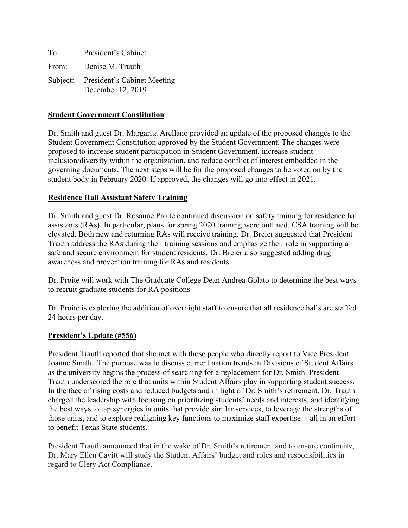| To: | President's Cabinet                                       |
|-----|-----------------------------------------------------------|
|     | From: Denise M. Trauth                                    |
|     | Subject: President's Cabinet Meeting<br>December 12, 2019 |

## **Student Government Constitution**

Dr. Smith and guest Dr. Margarita Arellano provided an update of the proposed changes to the Student Government Constitution approved by the Student Government. The changes were proposed to increase student participation in Student Government, increase student inclusion/diversity within the organization, and reduce conflict of interest embedded in the governing documents. The next steps will be for the proposed changes to be voted on by the student body in February 2020. If approved, the changes will go into effect in 2021.

## **Residence Hall Assistant Safety Training**

Dr. Smith and guest Dr. Rosanne Proite continued discussion on safety training for residence hall assistants (RAs). In particular, plans for spring 2020 training were outlined. CSA training will be elevated. Both new and returning RAs will receive training. Dr. Breier suggested that President Trauth address the RAs during their training sessions and emphasize their role in supporting a safe and secure environment for student residents. Dr. Breier also suggested adding drug awareness and prevention training for RAs and residents.

Dr. Proite will work with The Graduate College Dean Andrea Golato to determine the best ways to recruit graduate students for RA positions

Dr. Proite is exploring the addition of overnight staff to ensure that all residence halls are staffed 24 hours per day.

## **President's Update (#556)**

President Trauth reported that she met with those people who directly report to Vice President Joanne Smith. The purpose was to discuss current nation trends in Divisions of Student Affairs as the university begins the process of searching for a replacement for Dr. Smith. President Trauth underscored the role that units within Student Affairs play in supporting student success. In the face of rising costs and reduced budgets and in light of Dr. Smith's retirement, Dr. Trauth charged the leadership with focusing on prioritizing students' needs and interests, and identifying the best ways to tap synergies in units that provide similar services, to leverage the strengths of those units, and to explore realigning key functions to maximize staff expertise -- all in an effort to benefit Texas State students.

President Trauth announced that in the wake of Dr. Smith's retirement and to ensure continuity, Dr. Mary Ellen Cavitt will study the Student Affairs' budget and roles and responsibilities in regard to Clery Act Compliance.